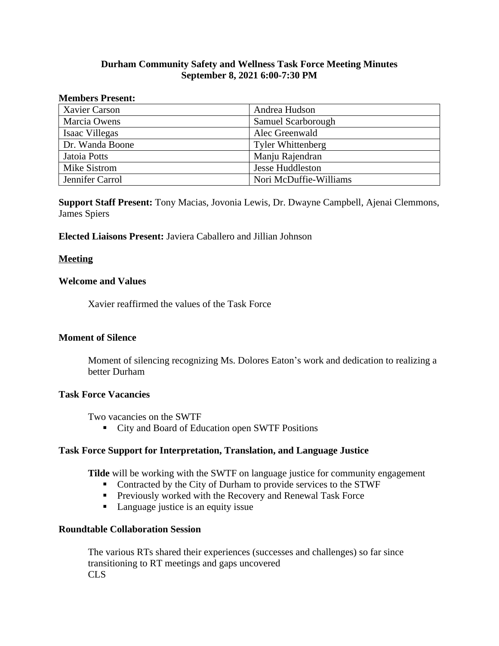# **Durham Community Safety and Wellness Task Force Meeting Minutes September 8, 2021 6:00-7:30 PM**

#### **Members Present:**

| <b>Xavier Carson</b> | Andrea Hudson            |
|----------------------|--------------------------|
| Marcia Owens         | Samuel Scarborough       |
| Isaac Villegas       | Alec Greenwald           |
| Dr. Wanda Boone      | <b>Tyler Whittenberg</b> |
| Jatoia Potts         | Manju Rajendran          |
| Mike Sistrom         | <b>Jesse Huddleston</b>  |
| Jennifer Carrol      | Nori McDuffie-Williams   |

**Support Staff Present:** Tony Macias, Jovonia Lewis, Dr. Dwayne Campbell, Ajenai Clemmons, James Spiers

### **Elected Liaisons Present:** Javiera Caballero and Jillian Johnson

### **Meeting**

#### **Welcome and Values**

Xavier reaffirmed the values of the Task Force

### **Moment of Silence**

Moment of silencing recognizing Ms. Dolores Eaton's work and dedication to realizing a better Durham

#### **Task Force Vacancies**

Two vacancies on the SWTF

■ City and Board of Education open SWTF Positions

### **Task Force Support for Interpretation, Translation, and Language Justice**

**Tilde** will be working with the SWTF on language justice for community engagement

- Contracted by the City of Durham to provide services to the STWF
- **Previously worked with the Recovery and Renewal Task Force**
- Language justice is an equity issue

# **Roundtable Collaboration Session**

The various RTs shared their experiences (successes and challenges) so far since transitioning to RT meetings and gaps uncovered CLS